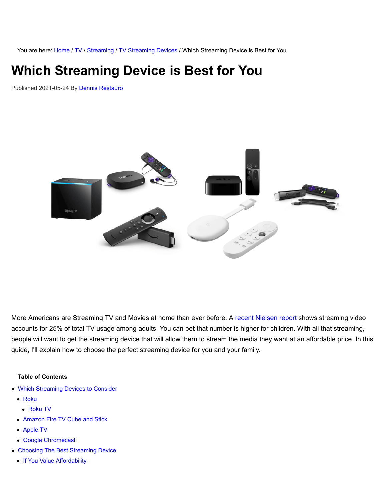You are here: [Home](https://www.groundedreason.com/) / [TV](https://www.groundedreason.com/cord-cutting/) / [Streaming](https://www.groundedreason.com/cord-cutting/tv-streaming/) / [TV Streaming Devices](https://www.groundedreason.com/cord-cutting/tv-streaming/tv-streaming-devices/) / Which Streaming Device is Best for You

# **Which Streaming Device is Best for You**

Published 2021-05-24 By [Dennis Restauro](https://www.groundedreason.com/author/drestauro/)



More Americans are Streaming TV and Movies at home than ever before. A [recent Nielsen report](https://www.nielsen.com/us/en/insights/report/2020/the-nielsen-total-audience-report-august-2020/) shows streaming video accounts for 25% of total TV usage among adults. You can bet that number is higher for children. With all that streaming, people will want to get the streaming device that will allow them to stream the media they want at an affordable price. In this guide, I'll explain how to choose the perfect streaming device for you and your family.

#### **Table of Contents**

- [Which Streaming Devices to Consider](https://www.groundedreason.com/which-streaming-device-is-best-for-you/#Which_Streaming_Devices_to_Consider)
	- [Roku](https://www.groundedreason.com/which-streaming-device-is-best-for-you/#Roku)
		- [Roku TV](https://www.groundedreason.com/which-streaming-device-is-best-for-you/#Roku_TV)
	- [Amazon Fire TV Cube and Stick](https://www.groundedreason.com/which-streaming-device-is-best-for-you/#Amazon_Fire_TV_Cube_and_Stick)
	- [Apple TV](https://www.groundedreason.com/which-streaming-device-is-best-for-you/#Apple_TV)
	- [Google Chromecast](https://www.groundedreason.com/which-streaming-device-is-best-for-you/#Google_Chromecast)
- [Choosing The Best Streaming Device](https://www.groundedreason.com/which-streaming-device-is-best-for-you/#Choosing_The_Best_Streaming_Device)
	- [If You Value Affordability](https://www.groundedreason.com/which-streaming-device-is-best-for-you/#If_You_Value_Affordability)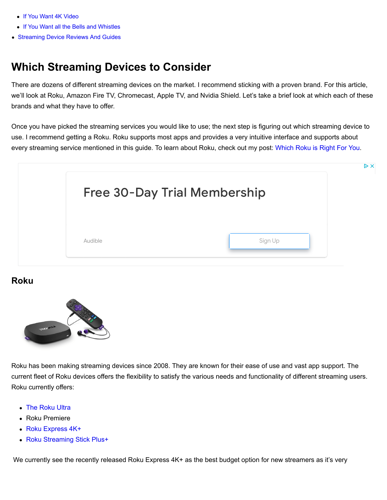- [If You Want 4K Video](https://www.groundedreason.com/which-streaming-device-is-best-for-you/#If_You_Want_4K_Video)
- [If You Want all the Bells and Whistles](https://www.groundedreason.com/which-streaming-device-is-best-for-you/#If_You_Want_all_the_Bells_and_Whistles)
- [Streaming Device Reviews And Guides](https://www.groundedreason.com/which-streaming-device-is-best-for-you/#Streaming_Device_Reviews_And_Guides)

### **Which Streaming Devices to Consider**

There are dozens of different streaming devices on the market. I recommend sticking with a proven brand. For this article, we'll look at Roku, Amazon Fire TV, Chromecast, Apple TV, and Nvidia Shield. Let's take a brief look at which each of these brands and what they have to offer.

Once you have picked the streaming services you would like to use; the next step is figuring out which streaming device to use. I recommend getting a Roku. Roku supports most apps and provides a very intuitive interface and supports about every streaming service mentioned in this guide. To learn about Roku, check out my post: [Which Roku is Right For You](https://www.groundedreason.com/a-beginners-guide-to-roku/).



#### **Roku**



Roku has been making streaming devices since 2008. They are known for their ease of use and vast app support. The current fleet of Roku devices offers the flexibility to satisfy the various needs and functionality of different streaming users. Roku currently offers:

- [The Roku Ultra](https://www.groundedreason.com/roku-releases-a-new-roku-ultra-for-2020/)
- Roku Premiere
- [Roku Express 4K+](https://www.groundedreason.com/a-look-at-the-new-2021-roku-express-4k/)
- [Roku Streaming Stick Plus+](https://www.groundedreason.com/roku-streaming-stick-plus-is-best-roku-for-most/)

We currently see the recently released Roku Express  $4K +$  as the best budget option for new streamers as it's very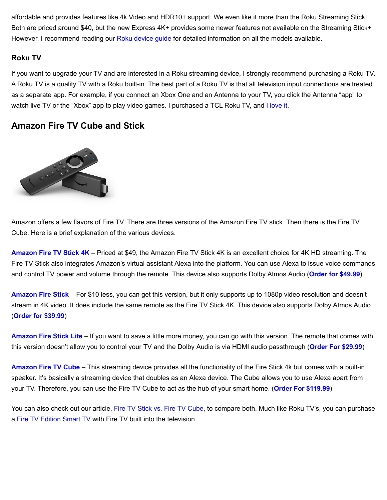affordable and provides features like 4k Video and HDR10+ support. We even like it more than the Roku Streaming Stick+. Both are priced around \$40, but the new Express 4K+ provides some newer features not available on the Streaming Stick+ However, I recommend reading our [Roku device guide](https://www.groundedreason.com/a-beginners-guide-to-roku/#roku-compare) for detailed information on all the models available.

#### **Roku TV**

If you want to upgrade your TV and are interested in a Roku streaming device, I strongly recommend purchasing a Roku TV. A Roku TV is a quality TV with a Roku built-in. The best part of a Roku TV is that all television input connections are treated as a separate app. For example, if you connect an Xbox One and an Antenna to your TV, you click the Antenna "app" to watch live TV or the "Xbox" app to play video games. I purchased a TCL Roku TV, and [I love it.](https://www.groundedreason.com/tcl-roku-tv-review/)

#### **Amazon Fire TV Cube and Stick**



Amazon offers a few flavors of Fire TV. There are three versions of the Amazon Fire TV stick. Then there is the Fire TV Cube. Here is a brief explanation of the various devices.

**[Amazon Fire TV Stick 4K](https://www.groundedreason.com/amazon-fire-stick-alexa-helps-cut-the-cord/)** – Priced at \$49, the Amazon Fire TV Stick 4K is an excellent choice for 4K HD streaming. The Fire TV Stick also integrates Amazon's virtual assistant Alexa into the platform. You can use Alexa to issue voice commands and control TV power and volume through the remote. This device also supports Dolby Atmos Audio (**[Order for \\$49.99](https://amzn.to/2UuOY7m)**)

**[Amazon Fire Stick](https://www.groundedreason.com/amazon-releases-fire-stick-and-fire-stick-lite-new-for-2020/)** – For \$10 less, you can get this version, but it only supports up to 1080p video resolution and doesn't stream in 4K video. It does include the same remote as the Fire TV Stick 4K. This device also supports Dolby Atmos Audio (**[Order for \\$39.99](https://amzn.to/3i3BgTJ)**)

**[Amazon Fire Stick Lite](https://www.groundedreason.com/amazon-releases-fire-stick-and-fire-stick-lite-new-for-2020/)** – If you want to save a little more money, you can go with this version. The remote that comes with this version doesn't allow you to control your TV and the Dolby Audio is via HDMI audio passthrough (**[Order For \\$29.99](https://amzn.to/342ZvfP)**)

**[Amazon Fire TV Cube](https://www.groundedreason.com/amazon-fire-tv-cube-review/)** – This streaming device provides all the functionality of the Fire Stick 4k but comes with a built-in speaker. It's basically a streaming device that doubles as an Alexa device. The Cube allows you to use Alexa apart from your TV. Therefore, you can use the Fire TV Cube to act as the hub of your smart home. (**[Order For \\$119.99](https://amzn.to/3biTPAa)**)

You can also check out our article, [Fire TV Stick vs. Fire TV Cube](https://www.groundedreason.com/amazon-fire-tv-stick-vs-fire-tv/), to compare both. Much like Roku TV's, you can purchase a [Fire TV Edition Smart TV](https://amzn.to/2I4aiPi) with Fire TV built into the television.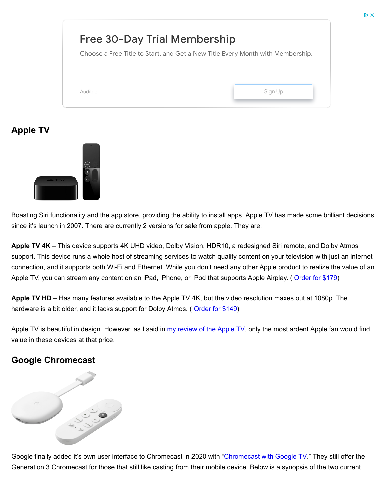| <b>Free 30-Day Trial Membership</b> | Choose a Free Title to Start, and Get a New Title Every Month with Membership. |
|-------------------------------------|--------------------------------------------------------------------------------|
| Audible                             | Sign Up                                                                        |

### **Apple TV**



Boasting Siri functionality and the app store, providing the ability to install apps, Apple TV has made some brilliant decisions since it's launch in 2007. There are currently 2 versions for sale from apple. They are:

**Apple TV 4K** – This device supports 4K UHD video, Dolby Vision, HDR10, a redesigned Siri remote, and Dolby Atmos support. This device runs a whole host of streaming services to watch quality content on your television with just an internet connection, and it supports both Wi-Fi and Ethernet. While you don't need any other Apple product to realize the value of an Apple TV, you can stream any content on an iPad, iPhone, or iPod that supports Apple Airplay. ( [Order for \\$179\)](https://www.apple.com/shop/buy-tv/apple-tv-4k)

**Apple TV HD** – Has many features available to the Apple TV 4K, but the video resolution maxes out at 1080p. The hardware is a bit older, and it lacks support for Dolby Atmos. ([Order for \\$149\)](https://www.apple.com/shop/buy-tv/apple-tv-4k)

Apple TV is beautiful in design. However, as I said in [my review of the Apple TV](https://www.groundedreason.com/is-apple-tv-worth-the-cost/), only the most ardent Apple fan would find value in these devices at that price.

### **Google Chromecast**



Google finally added it's own user interface to Chromecast in 2020 with ["Chromecast with Google TV.](https://www.groundedreason.com/google-reinvents-chromecast-with-google-tv/)" They still offer the Generation 3 Chromecast for those that still like casting from their mobile device. Below is a synopsis of the two current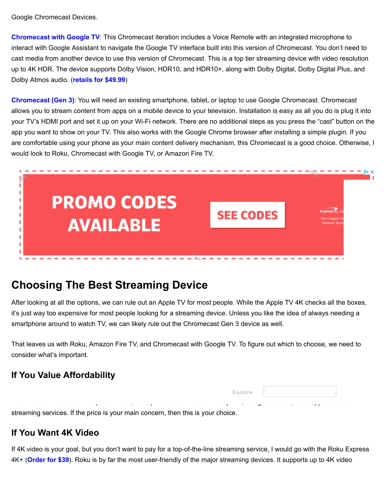Google Chromecast Devices.

**[Chromecast with Google TV](https://www.groundedreason.com/google-reinvents-chromecast-with-google-tv/)**: This Chromecast iteration includes a Voice Remote with an integrated microphone to interact with Google Assistant to navigate the Google TV interface built into this version of Chromecast. You don't need to cast media from another device to use this version of Chromecast. This is a top tier streaming device with video resolution up to 4K HDR. The device supports Dolby Vision, HDR10, and HDR10+, along with Dolby Digital, Dolby Digital Plus, and Dolby Atmos audio. (**[retails for \\$49.99](https://store.google.com/product/chromecast_google_tv)**)

**[Chromecast \(Gen 3\)](https://www.groundedreason.com/google-chromecast-setup-review/)**: You will need an existing smartphone, tablet, or laptop to use Google Chromecast. Chromecast allows you to stream content from apps on a mobile device to your television. Installation is easy as all you do is plug it into your TV's HDMI port and set it up on your Wi-Fi network. There are no additional steps as you press the "cast" button on the app you want to show on your TV. This also works with the Google Chrome browser after installing a simple plugin. If you are comfortable using your phone as your main content delivery mechanism, this Chromecast is a good choice. Otherwise, I would look to Roku, Chromecast with Google TV, or Amazon Fire TV.



### **Choosing The Best Streaming Device**

After looking at all the options, we can rule out an Apple TV for most people. While the Apple TV 4K checks all the boxes, it's just way too expensive for most people looking for a streaming device. Unless you like the idea of always needing a smartphone around to watch TV, we can likely rule out the Chromecast Gen 3 device as well.

That leaves us with Roku, Amazon Fire TV, and Chromecast with Google TV. To figure out which to choose, we need to consider what's important.

### **If You Value Affordability**

|  |                                                                                  |  | <b>Explore</b> $\ \cdot\ $ Search this website $\ \cdot\ $                                                               |  |
|--|----------------------------------------------------------------------------------|--|--------------------------------------------------------------------------------------------------------------------------|--|
|  |                                                                                  |  | المجمع المدام ومعامل من والمحتمد في المع المعامل المحتمد المحتمد المحتمد والمدام المحتمد المحتمد المحتمد المحتمد المحتمد |  |
|  | streaming services. If the price is your main concern, then this is your choice. |  |                                                                                                                          |  |

### **If You Want 4K Video**

If 4K video is your goal, but you don't want to pay for a top-of-the-line streaming service, I would go with the Roku Express 4K+ (**[Order for \\$39](https://amzn.to/2R2jM2D)**). Roku is by far the most user-friendly of the major streaming devices. It supports up to 4K video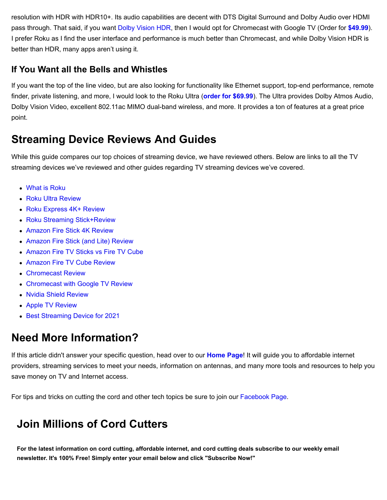resolution with HDR with HDR10+. Its audio capabilities are decent with DTS Digital Surround and Dolby Audio over HDMI pass through. That said, if you want [Dolby Vision HDR](https://www.groundedreason.com/dolby-vision-isnt-new-but-dolby-vision-iq-is/), then I would opt for Chromecast with Google TV (Order for **[\\$49.99](https://store.google.com/product/chromecast_google_tv)**). I prefer Roku as I find the user interface and performance is much better than Chromecast, and while Dolby Vision HDR is better than HDR, many apps aren't using it.

#### **If You Want all the Bells and Whistles**

If you want the top of the line video, but are also looking for functionality like Ethernet support, top-end performance, remote finder, private listening, and more, I would look to the Roku Ultra (**[order for \\$69.99](https://amzn.to/34fwLkd)**). The Ultra provides Dolby Atmos Audio, Dolby Vision Video, excellent 802.11ac MIMO dual-band wireless, and more. It provides a ton of features at a great price point.

### **Streaming Device Reviews And Guides**

While this guide compares our top choices of streaming device, we have reviewed others. Below are links to all the TV streaming devices we've reviewed and other guides regarding TV streaming devices we've covered.

- [What is Roku](https://www.groundedreason.com/a-beginners-guide-to-roku/)
- [Roku Ultra Review](https://www.groundedreason.com/roku-releases-a-new-roku-ultra-for-2020/)
- [Roku Express 4K+ Review](https://www.groundedreason.com/a-look-at-the-new-2021-roku-express-4k/)
- [Roku Streaming Stick+Review](https://www.groundedreason.com/roku-streaming-stick-plus-is-best-roku-for-most/)
- [Amazon Fire Stick 4K Review](https://www.groundedreason.com/amazon-fire-stick-alexa-helps-cut-the-cord/)
- [Amazon Fire Stick \(and Lite\) Review](https://www.groundedreason.com/amazon-releases-fire-stick-and-fire-stick-lite-new-for-2020/)
- [Amazon Fire TV Sticks vs Fire TV Cube](https://www.groundedreason.com/amazon-fire-tv-stick-vs-fire-tv/)
- [Amazon Fire TV Cube Review](https://www.groundedreason.com/amazon-fire-tv-cube-review/)
- [Chromecast Review](https://www.groundedreason.com/google-chromecast-setup-review/)
- [Chromecast with Google TV Review](https://www.groundedreason.com/google-reinvents-chromecast-with-google-tv/)
- [Nvidia Shield Review](https://www.groundedreason.com/nvidia-shield-tv-offers-a-smart-home-bundle/)
- [Apple TV Review](https://www.groundedreason.com/is-apple-tv-worth-the-cost/)
- **[Best Streaming Device for 2021](https://www.groundedreason.com/best-roku-device-for-2020/)**

### **Need More Information?**

If this article didn't answer your specific question, head over to our **[Home Page](https://www.groundedreason.com/)**! It will guide you to affordable internet providers, streaming services to meet your needs, information on antennas, and many more tools and resources to help you save money on TV and Internet access.

For tips and tricks on cutting the cord and other tech topics be sure to join our [Facebook Page.](https://www.facebook.com/GroundedReason/)

## **Join Millions of Cord Cutters**

**For the latest information on cord cutting, affordable internet, and cord cutting deals subscribe to our weekly email newsletter. It's 100% Free! Simply enter your email below and click "Subscribe Now!"**